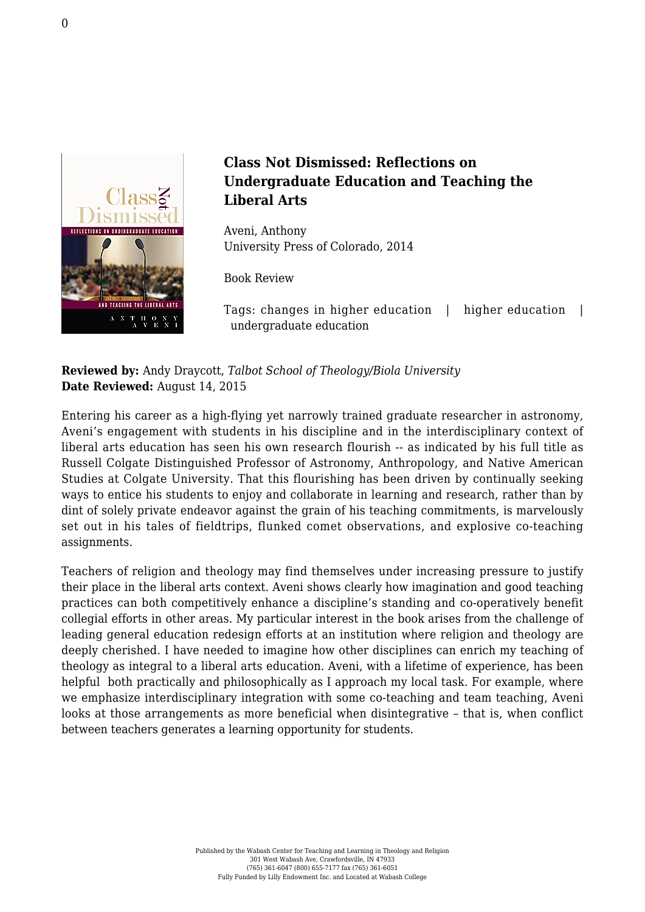

## **Class Not Dismissed: Reflections on Undergraduate Education and Teaching the Liberal Arts**

Aveni, Anthony [University Press of Colorado, 2014](http://www.upcolorado.com/university-press-of-colorado/item/2013-class-not-dismissed)

Book Review

Tags: changes in higher education | higher education | undergraduate education

**Reviewed by:** Andy Draycott, *Talbot School of Theology/Biola University* **Date Reviewed:** August 14, 2015

Entering his career as a high-flying yet narrowly trained graduate researcher in astronomy, Aveni's engagement with students in his discipline and in the interdisciplinary context of liberal arts education has seen his own research flourish -- as indicated by his full title as Russell Colgate Distinguished Professor of Astronomy, Anthropology, and Native American Studies at Colgate University. That this flourishing has been driven by continually seeking ways to entice his students to enjoy and collaborate in learning and research, rather than by dint of solely private endeavor against the grain of his teaching commitments, is marvelously set out in his tales of fieldtrips, flunked comet observations, and explosive co-teaching assignments.

Teachers of religion and theology may find themselves under increasing pressure to justify their place in the liberal arts context. Aveni shows clearly how imagination and good teaching practices can both competitively enhance a discipline's standing and co-operatively benefit collegial efforts in other areas. My particular interest in the book arises from the challenge of leading general education redesign efforts at an institution where religion and theology are deeply cherished. I have needed to imagine how other disciplines can enrich my teaching of theology as integral to a liberal arts education. Aveni, with a lifetime of experience, has been helpful both practically and philosophically as I approach my local task. For example, where we emphasize interdisciplinary integration with some co-teaching and team teaching, Aveni looks at those arrangements as more beneficial when disintegrative – that is, when conflict between teachers generates a learning opportunity for students.